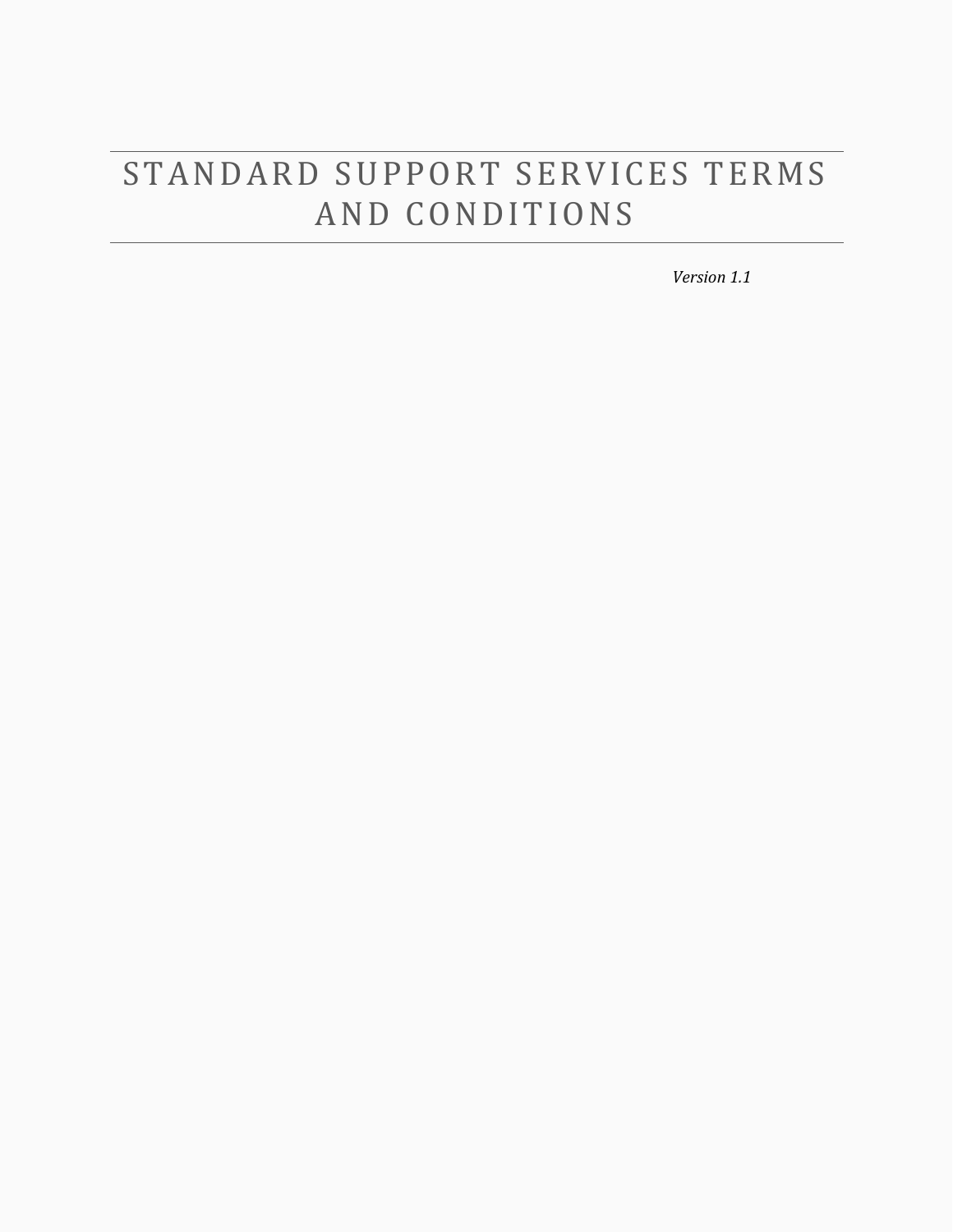# STANDARD SUPPORT SERVICES TERMS AND CONDITIONS

*Version 1.1*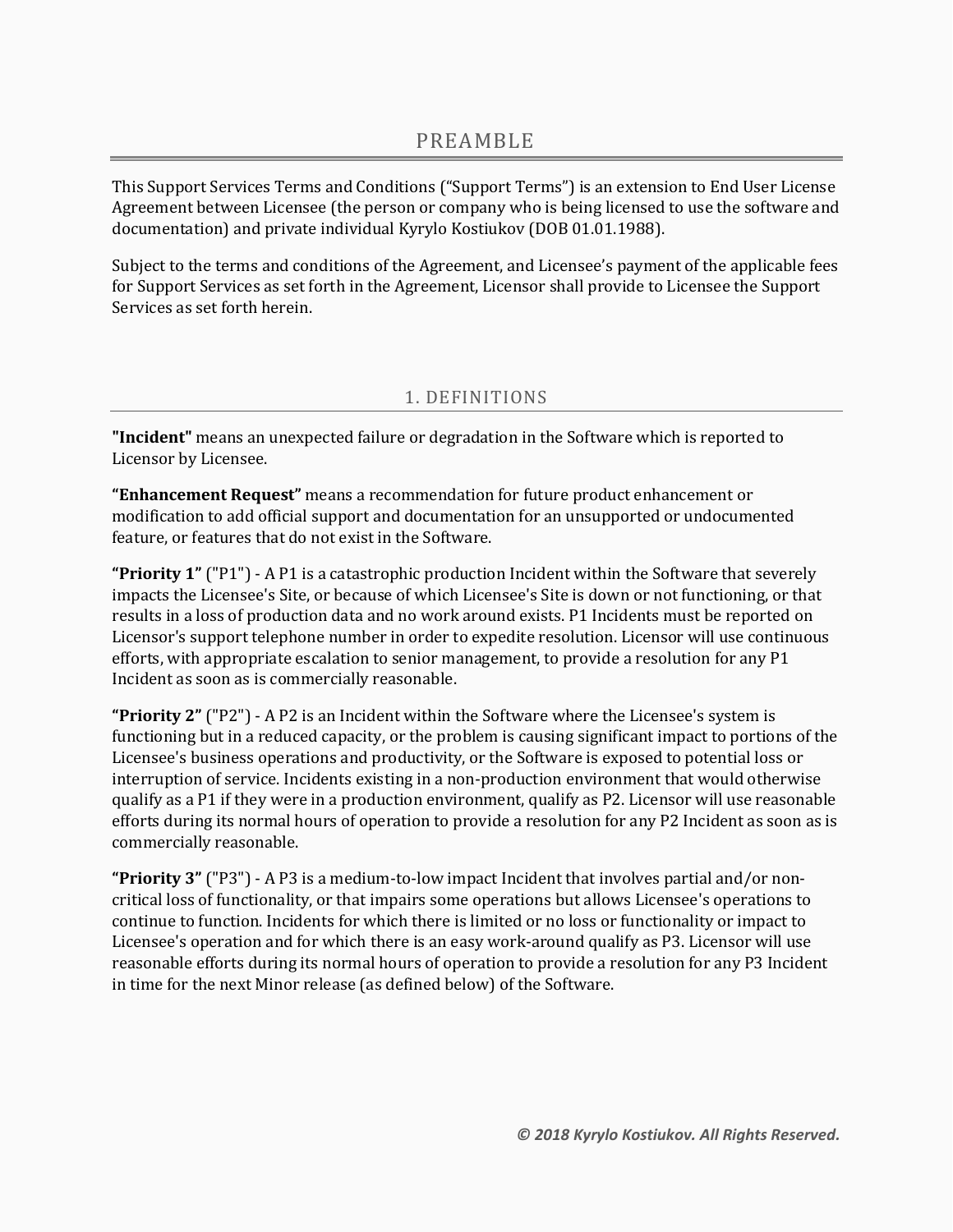This Support Services Terms and Conditions ("Support Terms") is an extension to End User License Agreement between Licensee (the person or company who is being licensed to use the software and documentation) and private individual Kyrylo Kostiukov (DOB 01.01.1988).

Subject to the terms and conditions of the Agreement, and Licensee's payment of the applicable fees for Support Services as set forth in the Agreement, Licensor shall provide to Licensee the Support Services as set forth herein.

# 1. DEFINITIONS

**"Incident"** means an unexpected failure or degradation in the Software which is reported to Licensor by Licensee.

**"Enhancement Request"** means a recommendation for future product enhancement or modification to add official support and documentation for an unsupported or undocumented feature, or features that do not exist in the Software.

**"Priority 1"** ("P1") - A P1 is a catastrophic production Incident within the Software that severely impacts the Licensee's Site, or because of which Licensee's Site is down or not functioning, or that results in a loss of production data and no work around exists. P1 Incidents must be reported on Licensor's support telephone number in order to expedite resolution. Licensor will use continuous efforts, with appropriate escalation to senior management, to provide a resolution for any P1 Incident as soon as is commercially reasonable.

**"Priority 2"** ("P2") - A P2 is an Incident within the Software where the Licensee's system is functioning but in a reduced capacity, or the problem is causing significant impact to portions of the Licensee's business operations and productivity, or the Software is exposed to potential loss or interruption of service. Incidents existing in a non-production environment that would otherwise qualify as a P1 if they were in a production environment, qualify as P2. Licensor will use reasonable efforts during its normal hours of operation to provide a resolution for any P2 Incident as soon as is commercially reasonable.

**"Priority 3"** ("P3") - A P3 is a medium-to-low impact Incident that involves partial and/or noncritical loss of functionality, or that impairs some operations but allows Licensee's operations to continue to function. Incidents for which there is limited or no loss or functionality or impact to Licensee's operation and for which there is an easy work-around qualify as P3. Licensor will use reasonable efforts during its normal hours of operation to provide a resolution for any P3 Incident in time for the next Minor release (as defined below) of the Software.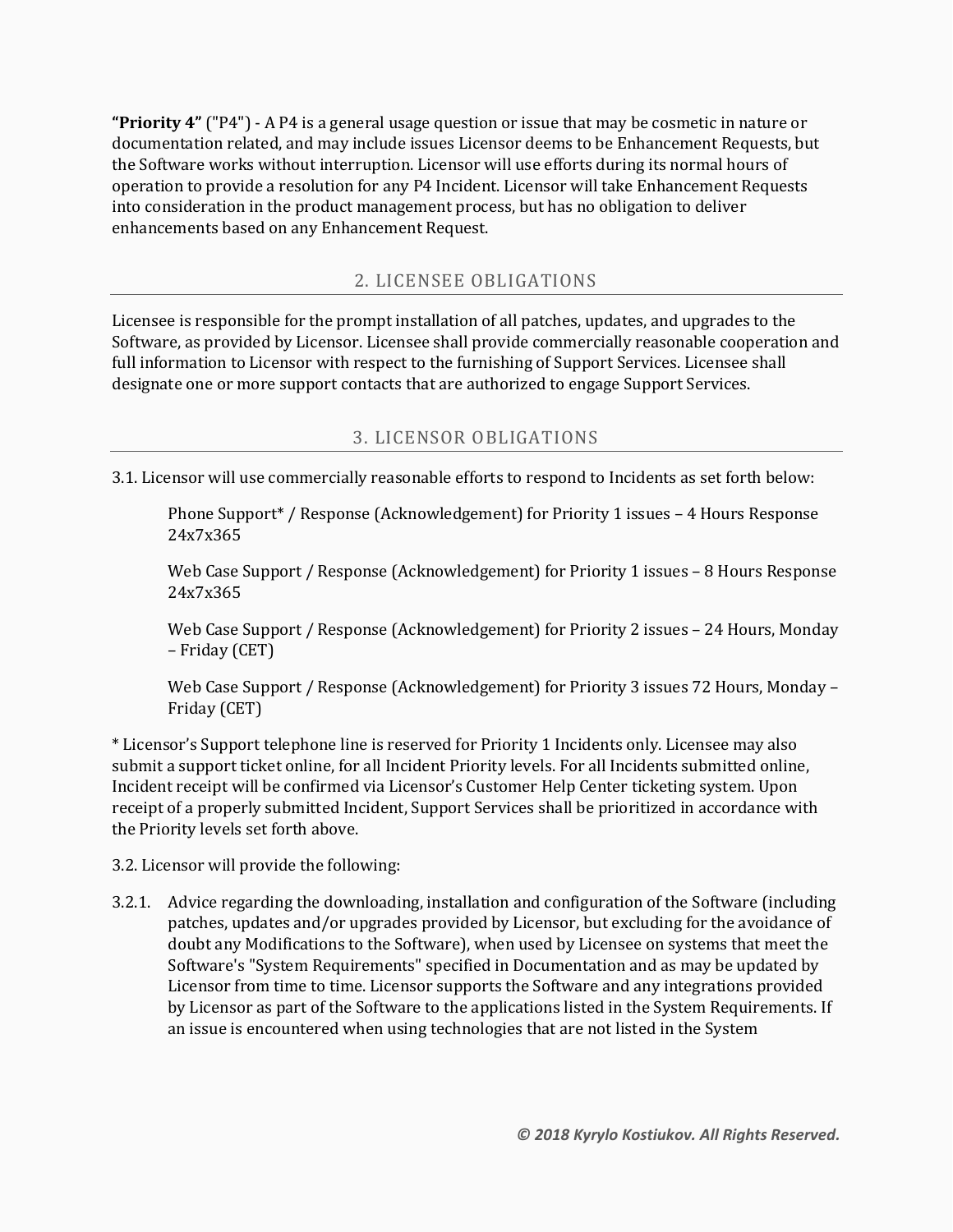**"Priority 4"** ("P4") - A P4 is a general usage question or issue that may be cosmetic in nature or documentation related, and may include issues Licensor deems to be Enhancement Requests, but the Software works without interruption. Licensor will use efforts during its normal hours of operation to provide a resolution for any P4 Incident. Licensor will take Enhancement Requests into consideration in the product management process, but has no obligation to deliver enhancements based on any Enhancement Request.

#### 2. LICENSEE OBLIGATIONS

Licensee is responsible for the prompt installation of all patches, updates, and upgrades to the Software, as provided by Licensor. Licensee shall provide commercially reasonable cooperation and full information to Licensor with respect to the furnishing of Support Services. Licensee shall designate one or more support contacts that are authorized to engage Support Services.

#### 3. LICENSOR OBLIGATIONS

3.1. Licensor will use commercially reasonable efforts to respond to Incidents as set forth below:

Phone Support\* / Response (Acknowledgement) for Priority 1 issues – 4 Hours Response 24x7x365

Web Case Support / Response (Acknowledgement) for Priority 1 issues – 8 Hours Response 24x7x365

Web Case Support / Response (Acknowledgement) for Priority 2 issues – 24 Hours, Monday – Friday (CET)

Web Case Support / Response (Acknowledgement) for Priority 3 issues 72 Hours, Monday – Friday (CET)

\* Licensor's Support telephone line is reserved for Priority 1 Incidents only. Licensee may also submit a support ticket online, for all Incident Priority levels. For all Incidents submitted online, Incident receipt will be confirmed via Licensor's Customer Help Center ticketing system. Upon receipt of a properly submitted Incident, Support Services shall be prioritized in accordance with the Priority levels set forth above.

3.2. Licensor will provide the following:

3.2.1. Advice regarding the downloading, installation and configuration of the Software (including patches, updates and/or upgrades provided by Licensor, but excluding for the avoidance of doubt any Modifications to the Software), when used by Licensee on systems that meet the Software's "System Requirements" specified in Documentation and as may be updated by Licensor from time to time. Licensor supports the Software and any integrations provided by Licensor as part of the Software to the applications listed in the System Requirements. If an issue is encountered when using technologies that are not listed in the System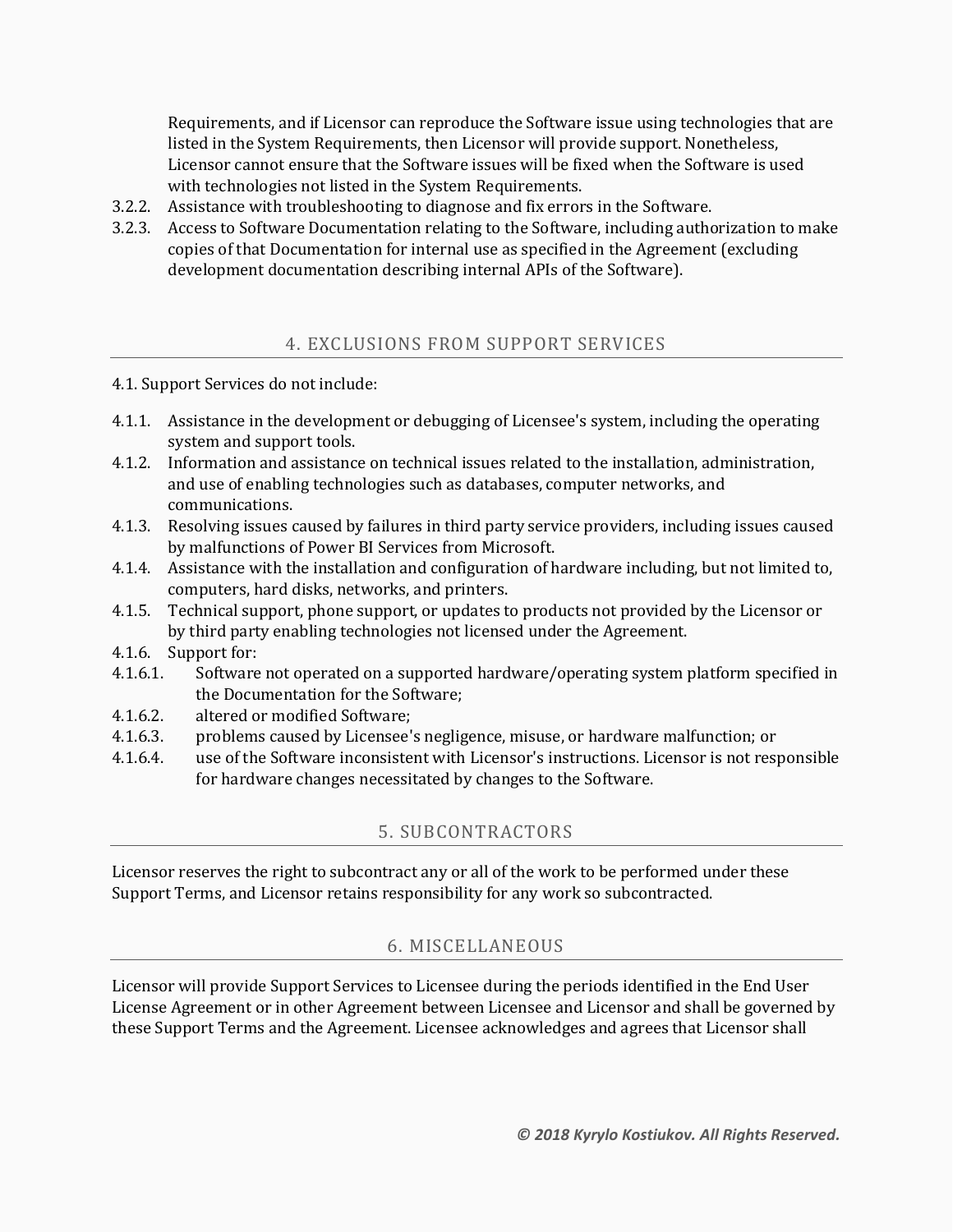Requirements, and if Licensor can reproduce the Software issue using technologies that are listed in the System Requirements, then Licensor will provide support. Nonetheless, Licensor cannot ensure that the Software issues will be fixed when the Software is used with technologies not listed in the System Requirements.

- 3.2.2. Assistance with troubleshooting to diagnose and fix errors in the Software.
- 3.2.3. Access to Software Documentation relating to the Software, including authorization to make copies of that Documentation for internal use as specified in the Agreement (excluding development documentation describing internal APIs of the Software).

#### 4. EXCLUSIONS FROM SUPPORT SERVICES

- 4.1. Support Services do not include:
- 4.1.1. Assistance in the development or debugging of Licensee's system, including the operating system and support tools.
- 4.1.2. Information and assistance on technical issues related to the installation, administration, and use of enabling technologies such as databases, computer networks, and communications.
- 4.1.3. Resolving issues caused by failures in third party service providers, including issues caused by malfunctions of Power BI Services from Microsoft.
- 4.1.4. Assistance with the installation and configuration of hardware including, but not limited to, computers, hard disks, networks, and printers.
- 4.1.5. Technical support, phone support, or updates to products not provided by the Licensor or by third party enabling technologies not licensed under the Agreement.
- 4.1.6. Support for:
- 4.1.6.1. Software not operated on a supported hardware/operating system platform specified in the Documentation for the Software;
- 4.1.6.2. altered or modified Software;
- 4.1.6.3. problems caused by Licensee's negligence, misuse, or hardware malfunction; or
- 4.1.6.4. use of the Software inconsistent with Licensor's instructions. Licensor is not responsible for hardware changes necessitated by changes to the Software.

## 5. SUBCONTRACTORS

Licensor reserves the right to subcontract any or all of the work to be performed under these Support Terms, and Licensor retains responsibility for any work so subcontracted.

## 6. MISCELLANEOUS

Licensor will provide Support Services to Licensee during the periods identified in the End User License Agreement or in other Agreement between Licensee and Licensor and shall be governed by these Support Terms and the Agreement. Licensee acknowledges and agrees that Licensor shall